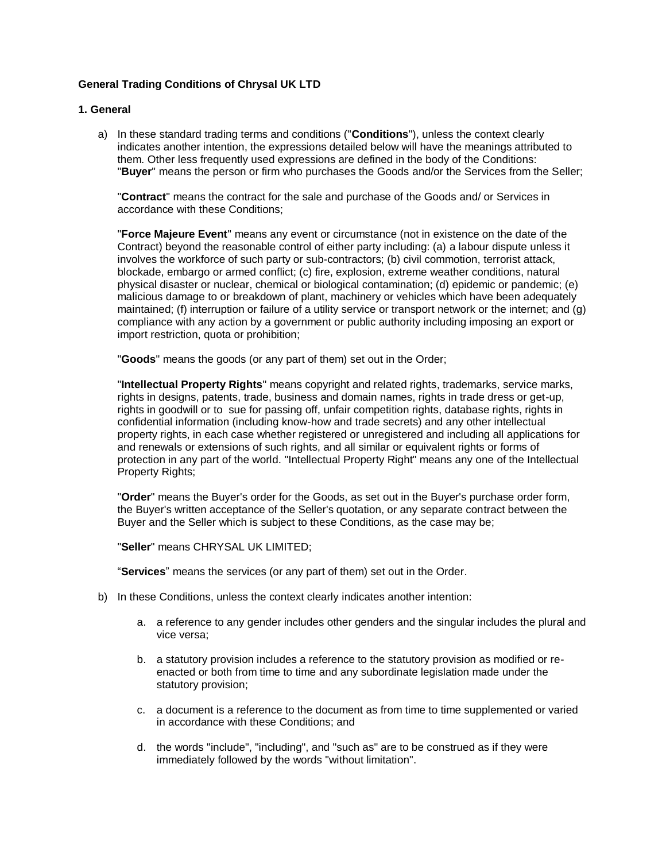# **General Trading Conditions of Chrysal UK LTD**

### **1. General**

a) In these standard trading terms and conditions ("**Conditions**"), unless the context clearly indicates another intention, the expressions detailed below will have the meanings attributed to them. Other less frequently used expressions are defined in the body of the Conditions: "**Buyer**" means the person or firm who purchases the Goods and/or the Services from the Seller;

"**Contract**" means the contract for the sale and purchase of the Goods and/ or Services in accordance with these Conditions;

"**Force Majeure Event**" means any event or circumstance (not in existence on the date of the Contract) beyond the reasonable control of either party including: (a) a labour dispute unless it involves the workforce of such party or sub-contractors; (b) civil commotion, terrorist attack, blockade, embargo or armed conflict; (c) fire, explosion, extreme weather conditions, natural physical disaster or nuclear, chemical or biological contamination; (d) epidemic or pandemic; (e) malicious damage to or breakdown of plant, machinery or vehicles which have been adequately maintained; (f) interruption or failure of a utility service or transport network or the internet; and (g) compliance with any action by a government or public authority including imposing an export or import restriction, quota or prohibition;

"**Goods**" means the goods (or any part of them) set out in the Order;

"**Intellectual Property Rights**" means copyright and related rights, trademarks, service marks, rights in designs, patents, trade, business and domain names, rights in trade dress or get-up, rights in goodwill or to sue for passing off, unfair competition rights, database rights, rights in confidential information (including know-how and trade secrets) and any other intellectual property rights, in each case whether registered or unregistered and including all applications for and renewals or extensions of such rights, and all similar or equivalent rights or forms of protection in any part of the world. "Intellectual Property Right" means any one of the Intellectual Property Rights;

"**Order**" means the Buyer's order for the Goods, as set out in the Buyer's purchase order form, the Buyer's written acceptance of the Seller's quotation, or any separate contract between the Buyer and the Seller which is subject to these Conditions, as the case may be;

"**Seller**" means CHRYSAL UK LIMITED;

"**Services**" means the services (or any part of them) set out in the Order.

- b) In these Conditions, unless the context clearly indicates another intention:
	- a. a reference to any gender includes other genders and the singular includes the plural and vice versa;
	- b. a statutory provision includes a reference to the statutory provision as modified or reenacted or both from time to time and any subordinate legislation made under the statutory provision;
	- c. a document is a reference to the document as from time to time supplemented or varied in accordance with these Conditions; and
	- d. the words "include", "including", and "such as" are to be construed as if they were immediately followed by the words "without limitation".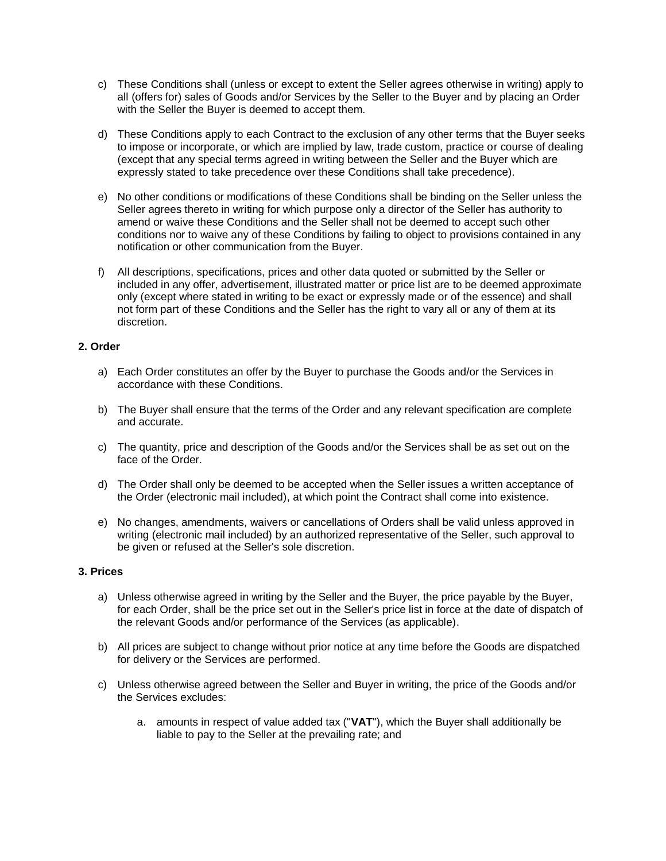- c) These Conditions shall (unless or except to extent the Seller agrees otherwise in writing) apply to all (offers for) sales of Goods and/or Services by the Seller to the Buyer and by placing an Order with the Seller the Buyer is deemed to accept them.
- d) These Conditions apply to each Contract to the exclusion of any other terms that the Buyer seeks to impose or incorporate, or which are implied by law, trade custom, practice or course of dealing (except that any special terms agreed in writing between the Seller and the Buyer which are expressly stated to take precedence over these Conditions shall take precedence).
- e) No other conditions or modifications of these Conditions shall be binding on the Seller unless the Seller agrees thereto in writing for which purpose only a director of the Seller has authority to amend or waive these Conditions and the Seller shall not be deemed to accept such other conditions nor to waive any of these Conditions by failing to object to provisions contained in any notification or other communication from the Buyer.
- f) All descriptions, specifications, prices and other data quoted or submitted by the Seller or included in any offer, advertisement, illustrated matter or price list are to be deemed approximate only (except where stated in writing to be exact or expressly made or of the essence) and shall not form part of these Conditions and the Seller has the right to vary all or any of them at its discretion.

## **2. Order**

- a) Each Order constitutes an offer by the Buyer to purchase the Goods and/or the Services in accordance with these Conditions.
- b) The Buyer shall ensure that the terms of the Order and any relevant specification are complete and accurate.
- c) The quantity, price and description of the Goods and/or the Services shall be as set out on the face of the Order.
- d) The Order shall only be deemed to be accepted when the Seller issues a written acceptance of the Order (electronic mail included), at which point the Contract shall come into existence.
- e) No changes, amendments, waivers or cancellations of Orders shall be valid unless approved in writing (electronic mail included) by an authorized representative of the Seller, such approval to be given or refused at the Seller's sole discretion.

### **3. Prices**

- a) Unless otherwise agreed in writing by the Seller and the Buyer, the price payable by the Buyer, for each Order, shall be the price set out in the Seller's price list in force at the date of dispatch of the relevant Goods and/or performance of the Services (as applicable).
- b) All prices are subject to change without prior notice at any time before the Goods are dispatched for delivery or the Services are performed.
- c) Unless otherwise agreed between the Seller and Buyer in writing, the price of the Goods and/or the Services excludes:
	- a. amounts in respect of value added tax ("**VAT**"), which the Buyer shall additionally be liable to pay to the Seller at the prevailing rate; and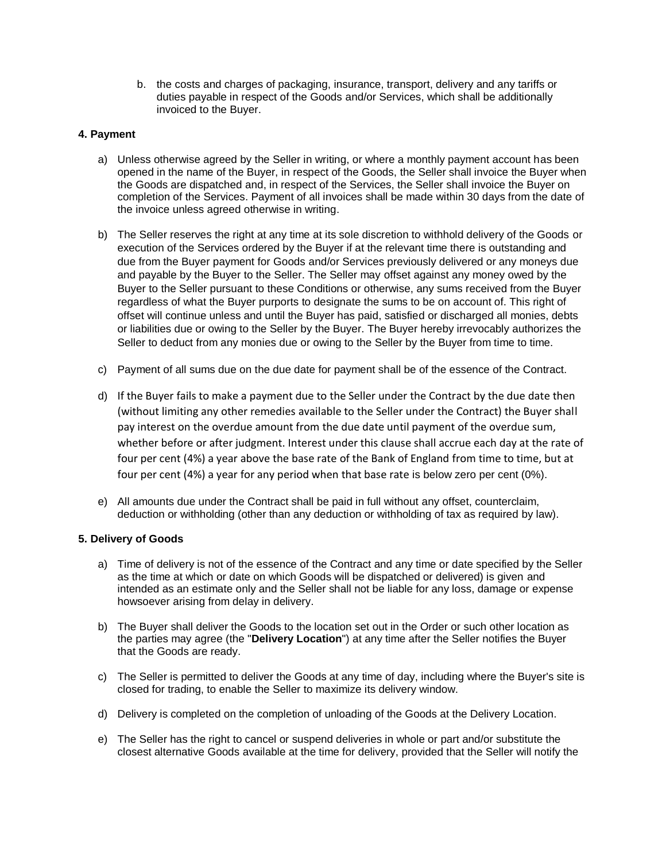b. the costs and charges of packaging, insurance, transport, delivery and any tariffs or duties payable in respect of the Goods and/or Services, which shall be additionally invoiced to the Buyer.

## **4. Payment**

- a) Unless otherwise agreed by the Seller in writing, or where a monthly payment account has been opened in the name of the Buyer, in respect of the Goods, the Seller shall invoice the Buyer when the Goods are dispatched and, in respect of the Services, the Seller shall invoice the Buyer on completion of the Services. Payment of all invoices shall be made within 30 days from the date of the invoice unless agreed otherwise in writing.
- b) The Seller reserves the right at any time at its sole discretion to withhold delivery of the Goods or execution of the Services ordered by the Buyer if at the relevant time there is outstanding and due from the Buyer payment for Goods and/or Services previously delivered or any moneys due and payable by the Buyer to the Seller. The Seller may offset against any money owed by the Buyer to the Seller pursuant to these Conditions or otherwise, any sums received from the Buyer regardless of what the Buyer purports to designate the sums to be on account of. This right of offset will continue unless and until the Buyer has paid, satisfied or discharged all monies, debts or liabilities due or owing to the Seller by the Buyer. The Buyer hereby irrevocably authorizes the Seller to deduct from any monies due or owing to the Seller by the Buyer from time to time.
- c) Payment of all sums due on the due date for payment shall be of the essence of the Contract.
- d) If the Buyer fails to make a payment due to the Seller under the Contract by the due date then (without limiting any other remedies available to the Seller under the Contract) the Buyer shall pay interest on the overdue amount from the due date until payment of the overdue sum, whether before or after judgment. Interest under this clause shall accrue each day at the rate of four per cent (4%) a year above the base rate of the Bank of England from time to time, but at four per cent (4%) a year for any period when that base rate is below zero per cent (0%).
- e) All amounts due under the Contract shall be paid in full without any offset, counterclaim, deduction or withholding (other than any deduction or withholding of tax as required by law).

# **5. Delivery of Goods**

- a) Time of delivery is not of the essence of the Contract and any time or date specified by the Seller as the time at which or date on which Goods will be dispatched or delivered) is given and intended as an estimate only and the Seller shall not be liable for any loss, damage or expense howsoever arising from delay in delivery.
- b) The Buyer shall deliver the Goods to the location set out in the Order or such other location as the parties may agree (the "**Delivery Location**") at any time after the Seller notifies the Buyer that the Goods are ready.
- c) The Seller is permitted to deliver the Goods at any time of day, including where the Buyer's site is closed for trading, to enable the Seller to maximize its delivery window.
- d) Delivery is completed on the completion of unloading of the Goods at the Delivery Location.
- e) The Seller has the right to cancel or suspend deliveries in whole or part and/or substitute the closest alternative Goods available at the time for delivery, provided that the Seller will notify the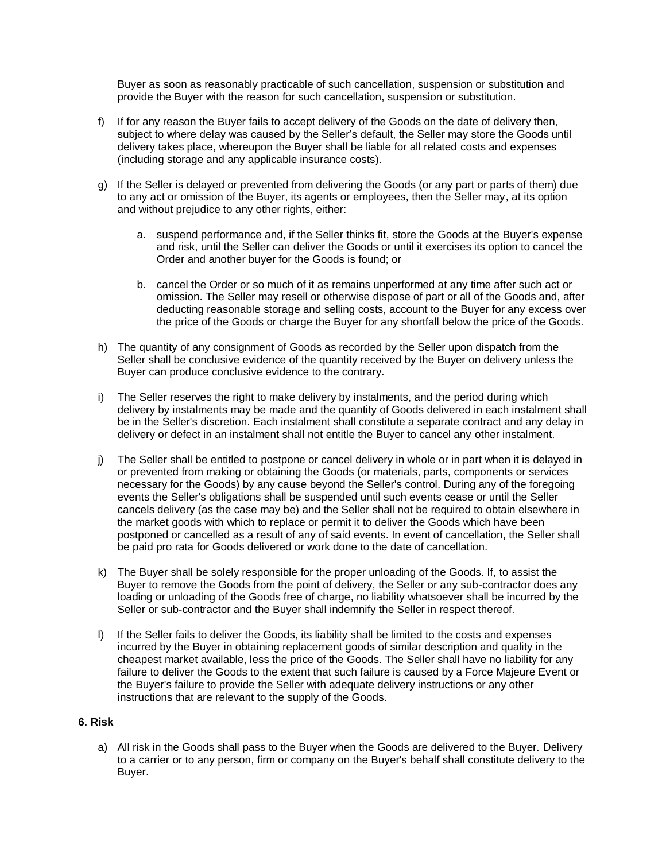Buyer as soon as reasonably practicable of such cancellation, suspension or substitution and provide the Buyer with the reason for such cancellation, suspension or substitution.

- f) If for any reason the Buyer fails to accept delivery of the Goods on the date of delivery then, subject to where delay was caused by the Seller's default, the Seller may store the Goods until delivery takes place, whereupon the Buyer shall be liable for all related costs and expenses (including storage and any applicable insurance costs).
- g) If the Seller is delayed or prevented from delivering the Goods (or any part or parts of them) due to any act or omission of the Buyer, its agents or employees, then the Seller may, at its option and without prejudice to any other rights, either:
	- a. suspend performance and, if the Seller thinks fit, store the Goods at the Buyer's expense and risk, until the Seller can deliver the Goods or until it exercises its option to cancel the Order and another buyer for the Goods is found; or
	- b. cancel the Order or so much of it as remains unperformed at any time after such act or omission. The Seller may resell or otherwise dispose of part or all of the Goods and, after deducting reasonable storage and selling costs, account to the Buyer for any excess over the price of the Goods or charge the Buyer for any shortfall below the price of the Goods.
- h) The quantity of any consignment of Goods as recorded by the Seller upon dispatch from the Seller shall be conclusive evidence of the quantity received by the Buyer on delivery unless the Buyer can produce conclusive evidence to the contrary.
- i) The Seller reserves the right to make delivery by instalments, and the period during which delivery by instalments may be made and the quantity of Goods delivered in each instalment shall be in the Seller's discretion. Each instalment shall constitute a separate contract and any delay in delivery or defect in an instalment shall not entitle the Buyer to cancel any other instalment.
- j) The Seller shall be entitled to postpone or cancel delivery in whole or in part when it is delayed in or prevented from making or obtaining the Goods (or materials, parts, components or services necessary for the Goods) by any cause beyond the Seller's control. During any of the foregoing events the Seller's obligations shall be suspended until such events cease or until the Seller cancels delivery (as the case may be) and the Seller shall not be required to obtain elsewhere in the market goods with which to replace or permit it to deliver the Goods which have been postponed or cancelled as a result of any of said events. In event of cancellation, the Seller shall be paid pro rata for Goods delivered or work done to the date of cancellation.
- k) The Buyer shall be solely responsible for the proper unloading of the Goods. If, to assist the Buyer to remove the Goods from the point of delivery, the Seller or any sub-contractor does any loading or unloading of the Goods free of charge, no liability whatsoever shall be incurred by the Seller or sub-contractor and the Buyer shall indemnify the Seller in respect thereof.
- l) If the Seller fails to deliver the Goods, its liability shall be limited to the costs and expenses incurred by the Buyer in obtaining replacement goods of similar description and quality in the cheapest market available, less the price of the Goods. The Seller shall have no liability for any failure to deliver the Goods to the extent that such failure is caused by a Force Majeure Event or the Buyer's failure to provide the Seller with adequate delivery instructions or any other instructions that are relevant to the supply of the Goods.

## **6. Risk**

a) All risk in the Goods shall pass to the Buyer when the Goods are delivered to the Buyer. Delivery to a carrier or to any person, firm or company on the Buyer's behalf shall constitute delivery to the Buyer.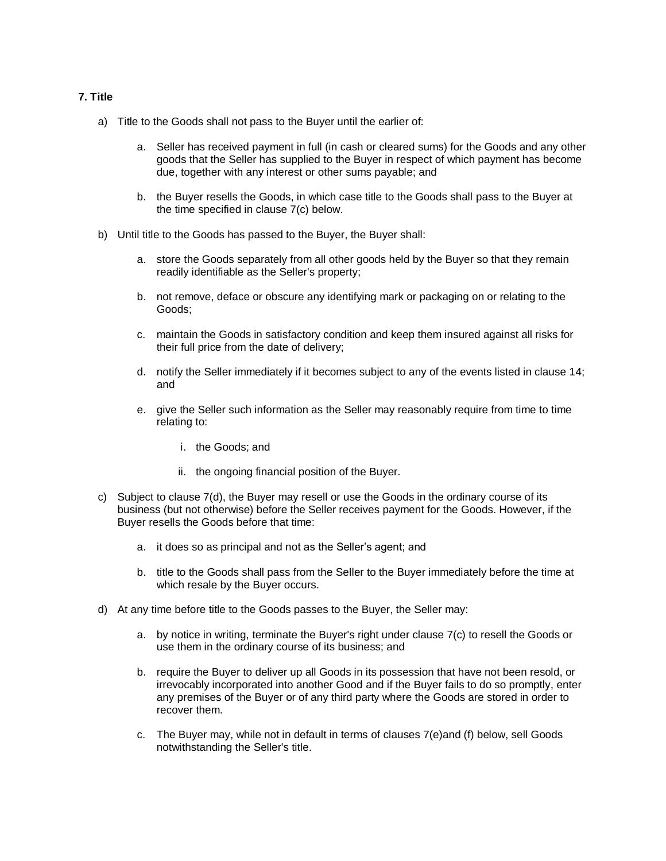## **7. Title**

- a) Title to the Goods shall not pass to the Buyer until the earlier of:
	- a. Seller has received payment in full (in cash or cleared sums) for the Goods and any other goods that the Seller has supplied to the Buyer in respect of which payment has become due, together with any interest or other sums payable; and
	- b. the Buyer resells the Goods, in which case title to the Goods shall pass to the Buyer at the time specified in clause 7(c) below.
- b) Until title to the Goods has passed to the Buyer, the Buyer shall:
	- a. store the Goods separately from all other goods held by the Buyer so that they remain readily identifiable as the Seller's property;
	- b. not remove, deface or obscure any identifying mark or packaging on or relating to the Goods;
	- c. maintain the Goods in satisfactory condition and keep them insured against all risks for their full price from the date of delivery;
	- d. notify the Seller immediately if it becomes subject to any of the events listed in clause 14; and
	- e. give the Seller such information as the Seller may reasonably require from time to time relating to:
		- i. the Goods; and
		- ii. the ongoing financial position of the Buyer.
- c) Subject to clause 7(d), the Buyer may resell or use the Goods in the ordinary course of its business (but not otherwise) before the Seller receives payment for the Goods. However, if the Buyer resells the Goods before that time:
	- a. it does so as principal and not as the Seller's agent; and
	- b. title to the Goods shall pass from the Seller to the Buyer immediately before the time at which resale by the Buyer occurs.
- d) At any time before title to the Goods passes to the Buyer, the Seller may:
	- a. by notice in writing, terminate the Buyer's right under clause 7(c) to resell the Goods or use them in the ordinary course of its business; and
	- b. require the Buyer to deliver up all Goods in its possession that have not been resold, or irrevocably incorporated into another Good and if the Buyer fails to do so promptly, enter any premises of the Buyer or of any third party where the Goods are stored in order to recover them.
	- c. The Buyer may, while not in default in terms of clauses 7(e)and (f) below, sell Goods notwithstanding the Seller's title.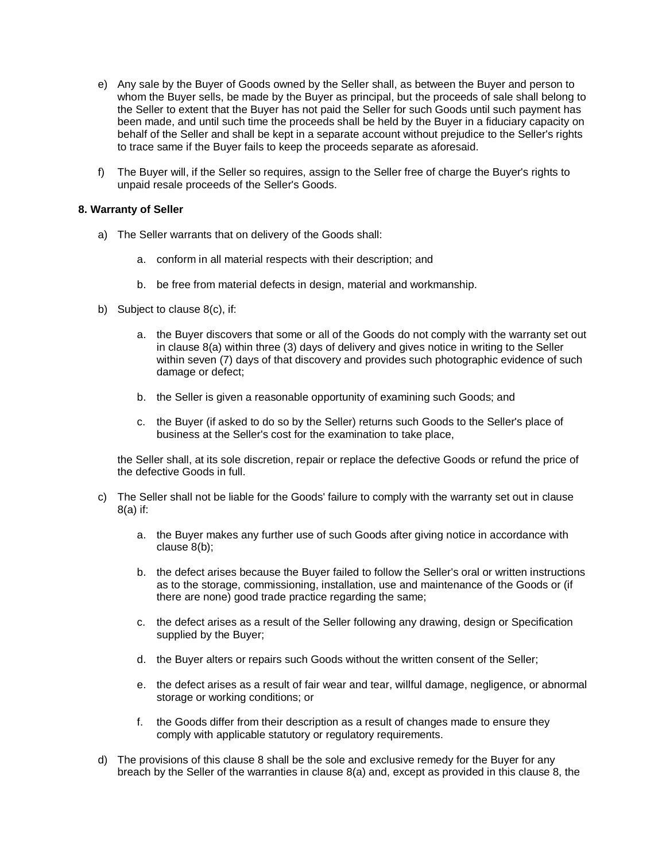- e) Any sale by the Buyer of Goods owned by the Seller shall, as between the Buyer and person to whom the Buyer sells, be made by the Buyer as principal, but the proceeds of sale shall belong to the Seller to extent that the Buyer has not paid the Seller for such Goods until such payment has been made, and until such time the proceeds shall be held by the Buyer in a fiduciary capacity on behalf of the Seller and shall be kept in a separate account without prejudice to the Seller's rights to trace same if the Buyer fails to keep the proceeds separate as aforesaid.
- f) The Buyer will, if the Seller so requires, assign to the Seller free of charge the Buyer's rights to unpaid resale proceeds of the Seller's Goods.

## **8. Warranty of Seller**

- a) The Seller warrants that on delivery of the Goods shall:
	- a. conform in all material respects with their description; and
	- b. be free from material defects in design, material and workmanship.
- b) Subject to clause 8(c), if:
	- a. the Buyer discovers that some or all of the Goods do not comply with the warranty set out in clause 8(a) within three (3) days of delivery and gives notice in writing to the Seller within seven (7) days of that discovery and provides such photographic evidence of such damage or defect;
	- b. the Seller is given a reasonable opportunity of examining such Goods; and
	- c. the Buyer (if asked to do so by the Seller) returns such Goods to the Seller's place of business at the Seller's cost for the examination to take place,

the Seller shall, at its sole discretion, repair or replace the defective Goods or refund the price of the defective Goods in full.

- c) The Seller shall not be liable for the Goods' failure to comply with the warranty set out in clause 8(a) if:
	- a. the Buyer makes any further use of such Goods after giving notice in accordance with clause 8(b);
	- b. the defect arises because the Buyer failed to follow the Seller's oral or written instructions as to the storage, commissioning, installation, use and maintenance of the Goods or (if there are none) good trade practice regarding the same;
	- c. the defect arises as a result of the Seller following any drawing, design or Specification supplied by the Buyer;
	- d. the Buyer alters or repairs such Goods without the written consent of the Seller;
	- e. the defect arises as a result of fair wear and tear, willful damage, negligence, or abnormal storage or working conditions; or
	- f. the Goods differ from their description as a result of changes made to ensure they comply with applicable statutory or regulatory requirements.
- d) The provisions of this clause 8 shall be the sole and exclusive remedy for the Buyer for any breach by the Seller of the warranties in clause 8(a) and, except as provided in this clause 8, the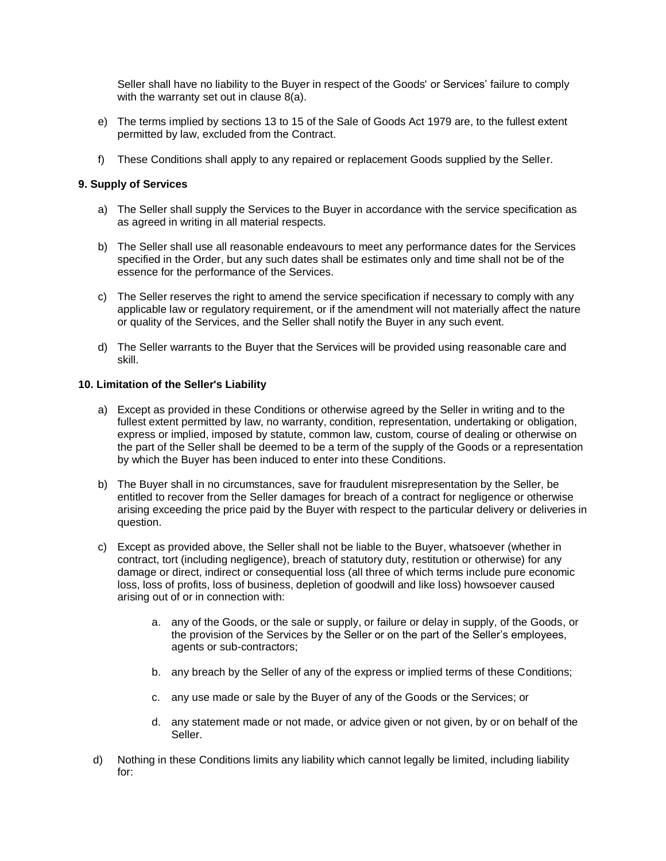Seller shall have no liability to the Buyer in respect of the Goods' or Services' failure to comply with the warranty set out in clause 8(a).

- e) The terms implied by sections 13 to 15 of the Sale of Goods Act 1979 are, to the fullest extent permitted by law, excluded from the Contract.
- f) These Conditions shall apply to any repaired or replacement Goods supplied by the Seller.

## **9. Supply of Services**

- a) The Seller shall supply the Services to the Buyer in accordance with the service specification as as agreed in writing in all material respects.
- b) The Seller shall use all reasonable endeavours to meet any performance dates for the Services specified in the Order, but any such dates shall be estimates only and time shall not be of the essence for the performance of the Services.
- c) The Seller reserves the right to amend the service specification if necessary to comply with any applicable law or regulatory requirement, or if the amendment will not materially affect the nature or quality of the Services, and the Seller shall notify the Buyer in any such event.
- d) The Seller warrants to the Buyer that the Services will be provided using reasonable care and skill.

### **10. Limitation of the Seller's Liability**

- a) Except as provided in these Conditions or otherwise agreed by the Seller in writing and to the fullest extent permitted by law, no warranty, condition, representation, undertaking or obligation, express or implied, imposed by statute, common law, custom, course of dealing or otherwise on the part of the Seller shall be deemed to be a term of the supply of the Goods or a representation by which the Buyer has been induced to enter into these Conditions.
- b) The Buyer shall in no circumstances, save for fraudulent misrepresentation by the Seller, be entitled to recover from the Seller damages for breach of a contract for negligence or otherwise arising exceeding the price paid by the Buyer with respect to the particular delivery or deliveries in question.
- c) Except as provided above, the Seller shall not be liable to the Buyer, whatsoever (whether in contract, tort (including negligence), breach of statutory duty, restitution or otherwise) for any damage or direct, indirect or consequential loss (all three of which terms include pure economic loss, loss of profits, loss of business, depletion of goodwill and like loss) howsoever caused arising out of or in connection with:
	- a. any of the Goods, or the sale or supply, or failure or delay in supply, of the Goods, or the provision of the Services by the Seller or on the part of the Seller's employees, agents or sub-contractors;
	- b. any breach by the Seller of any of the express or implied terms of these Conditions;
	- c. any use made or sale by the Buyer of any of the Goods or the Services; or
	- d. any statement made or not made, or advice given or not given, by or on behalf of the Seller.
- d) Nothing in these Conditions limits any liability which cannot legally be limited, including liability for: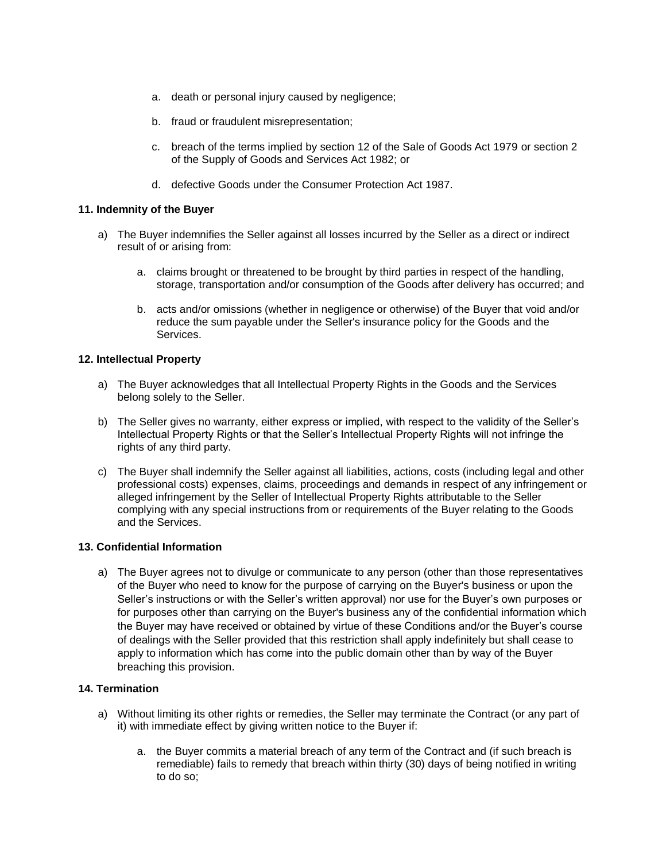- a. death or personal injury caused by negligence;
- b. fraud or fraudulent misrepresentation;
- c. breach of the terms implied by section 12 of the Sale of Goods Act 1979 or section 2 of the Supply of Goods and Services Act 1982; or
- d. defective Goods under the Consumer Protection Act 1987.

### **11. Indemnity of the Buyer**

- a) The Buyer indemnifies the Seller against all losses incurred by the Seller as a direct or indirect result of or arising from:
	- a. claims brought or threatened to be brought by third parties in respect of the handling, storage, transportation and/or consumption of the Goods after delivery has occurred; and
	- b. acts and/or omissions (whether in negligence or otherwise) of the Buyer that void and/or reduce the sum payable under the Seller's insurance policy for the Goods and the Services.

## **12. Intellectual Property**

- a) The Buyer acknowledges that all Intellectual Property Rights in the Goods and the Services belong solely to the Seller.
- b) The Seller gives no warranty, either express or implied, with respect to the validity of the Seller's Intellectual Property Rights or that the Seller's Intellectual Property Rights will not infringe the rights of any third party.
- c) The Buyer shall indemnify the Seller against all liabilities, actions, costs (including legal and other professional costs) expenses, claims, proceedings and demands in respect of any infringement or alleged infringement by the Seller of Intellectual Property Rights attributable to the Seller complying with any special instructions from or requirements of the Buyer relating to the Goods and the Services.

## **13. Confidential Information**

a) The Buyer agrees not to divulge or communicate to any person (other than those representatives of the Buyer who need to know for the purpose of carrying on the Buyer's business or upon the Seller's instructions or with the Seller's written approval) nor use for the Buyer's own purposes or for purposes other than carrying on the Buyer's business any of the confidential information which the Buyer may have received or obtained by virtue of these Conditions and/or the Buyer's course of dealings with the Seller provided that this restriction shall apply indefinitely but shall cease to apply to information which has come into the public domain other than by way of the Buyer breaching this provision.

# **14. Termination**

- a) Without limiting its other rights or remedies, the Seller may terminate the Contract (or any part of it) with immediate effect by giving written notice to the Buyer if:
	- a. the Buyer commits a material breach of any term of the Contract and (if such breach is remediable) fails to remedy that breach within thirty (30) days of being notified in writing to do so;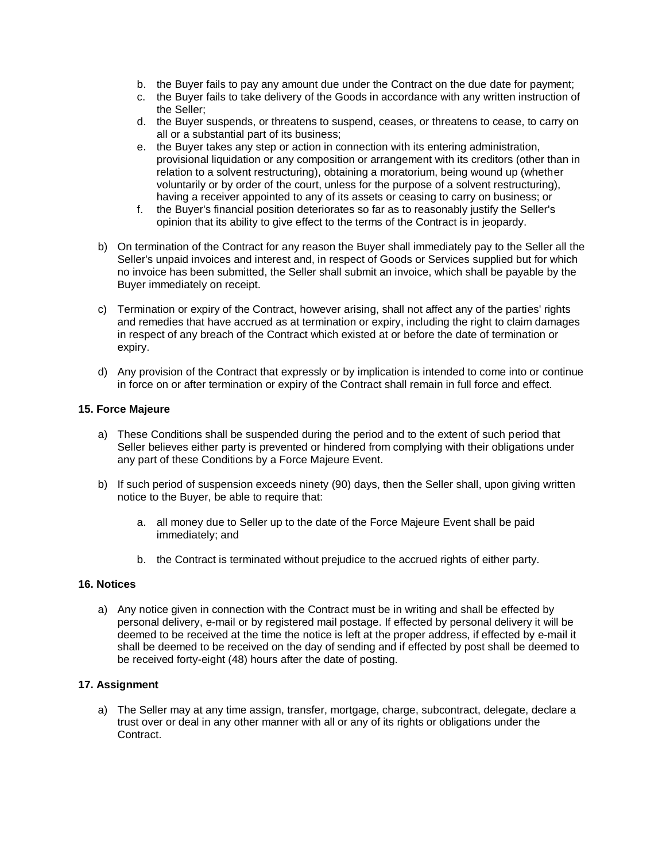- b. the Buyer fails to pay any amount due under the Contract on the due date for payment;
- c. the Buyer fails to take delivery of the Goods in accordance with any written instruction of the Seller;
- d. the Buyer suspends, or threatens to suspend, ceases, or threatens to cease, to carry on all or a substantial part of its business;
- e. the Buyer takes any step or action in connection with its entering administration, provisional liquidation or any composition or arrangement with its creditors (other than in relation to a solvent restructuring), obtaining a moratorium, being wound up (whether voluntarily or by order of the court, unless for the purpose of a solvent restructuring), having a receiver appointed to any of its assets or ceasing to carry on business; or
- f. the Buyer's financial position deteriorates so far as to reasonably justify the Seller's opinion that its ability to give effect to the terms of the Contract is in jeopardy.
- b) On termination of the Contract for any reason the Buyer shall immediately pay to the Seller all the Seller's unpaid invoices and interest and, in respect of Goods or Services supplied but for which no invoice has been submitted, the Seller shall submit an invoice, which shall be payable by the Buyer immediately on receipt.
- c) Termination or expiry of the Contract, however arising, shall not affect any of the parties' rights and remedies that have accrued as at termination or expiry, including the right to claim damages in respect of any breach of the Contract which existed at or before the date of termination or expiry.
- d) Any provision of the Contract that expressly or by implication is intended to come into or continue in force on or after termination or expiry of the Contract shall remain in full force and effect.

# **15. Force Majeure**

- a) These Conditions shall be suspended during the period and to the extent of such period that Seller believes either party is prevented or hindered from complying with their obligations under any part of these Conditions by a Force Majeure Event.
- b) If such period of suspension exceeds ninety (90) days, then the Seller shall, upon giving written notice to the Buyer, be able to require that:
	- a. all money due to Seller up to the date of the Force Majeure Event shall be paid immediately; and
	- b. the Contract is terminated without prejudice to the accrued rights of either party.

### **16. Notices**

a) Any notice given in connection with the Contract must be in writing and shall be effected by personal delivery, e-mail or by registered mail postage. If effected by personal delivery it will be deemed to be received at the time the notice is left at the proper address, if effected by e-mail it shall be deemed to be received on the day of sending and if effected by post shall be deemed to be received forty-eight (48) hours after the date of posting.

## **17. Assignment**

a) The Seller may at any time assign, transfer, mortgage, charge, subcontract, delegate, declare a trust over or deal in any other manner with all or any of its rights or obligations under the Contract.